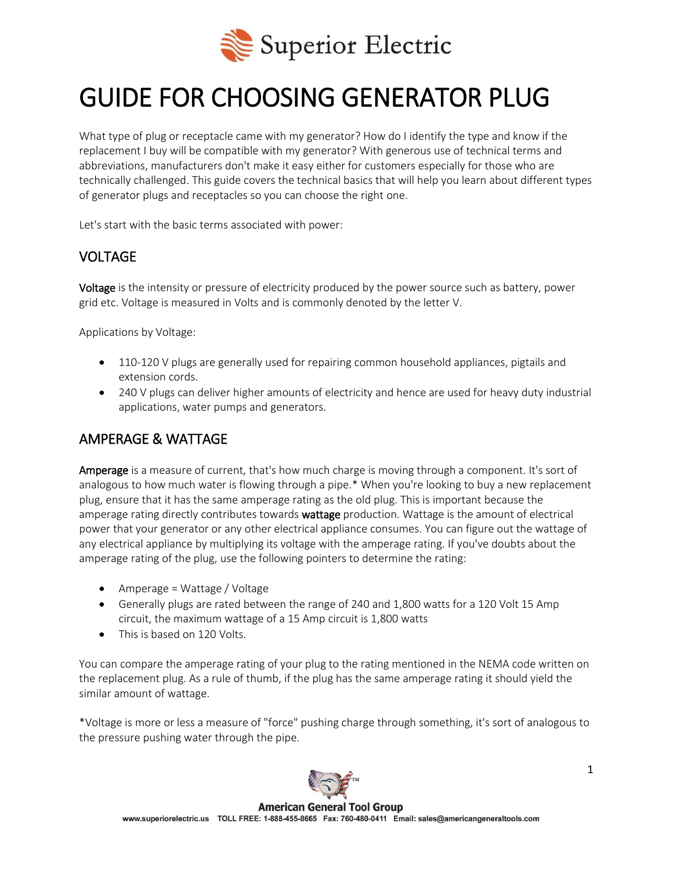

# GUIDE FOR CHOOSING GENERATOR PLUG

What type of plug or receptacle came with my generator? How do I identify the type and know if the replacement I buy will be compatible with my generator? With generous use of technical terms and abbreviations, manufacturers don't make it easy either for customers especially for those who are technically challenged. This guide covers the technical basics that will help you learn about different types of generator plugs and receptacles so you can choose the right one.

Let's start with the basic terms associated with power:

## VOLTAGE

Voltage is the intensity or pressure of electricity produced by the power source such as battery, power grid etc. Voltage is measured in Volts and is commonly denoted by the letter V.

Applications by Voltage:

- 110-120 V plugs are generally used for repairing common household appliances, pigtails and extension cords.
- 240 V plugs can deliver higher amounts of electricity and hence are used for heavy duty industrial applications, water pumps and generators.

## AMPERAGE & WATTAGE

Amperage is a measure of current, that's how much charge is moving through a component. It's sort of analogous to how much water is flowing through a pipe.\* When you're looking to buy a new replacement plug, ensure that it has the same amperage rating as the old plug. This is important because the amperage rating directly contributes towards wattage production. Wattage is the amount of electrical power that your generator or any other electrical appliance consumes. You can figure out the wattage of any electrical appliance by multiplying its voltage with the amperage rating. If you've doubts about the amperage rating of the plug, use the following pointers to determine the rating:

- Amperage = Wattage / Voltage
- Generally plugs are rated between the range of 240 and 1,800 watts for a 120 Volt 15 Amp circuit, the maximum wattage of a 15 Amp circuit is 1,800 watts
- This is based on 120 Volts.

You can compare the amperage rating of your plug to the rating mentioned in the NEMA code written on the replacement plug. As a rule of thumb, if the plug has the same amperage rating it should yield the similar amount of wattage.

\*Voltage is more or less a measure of "force" pushing charge through something, it's sort of analogous to the pressure pushing water through the pipe.

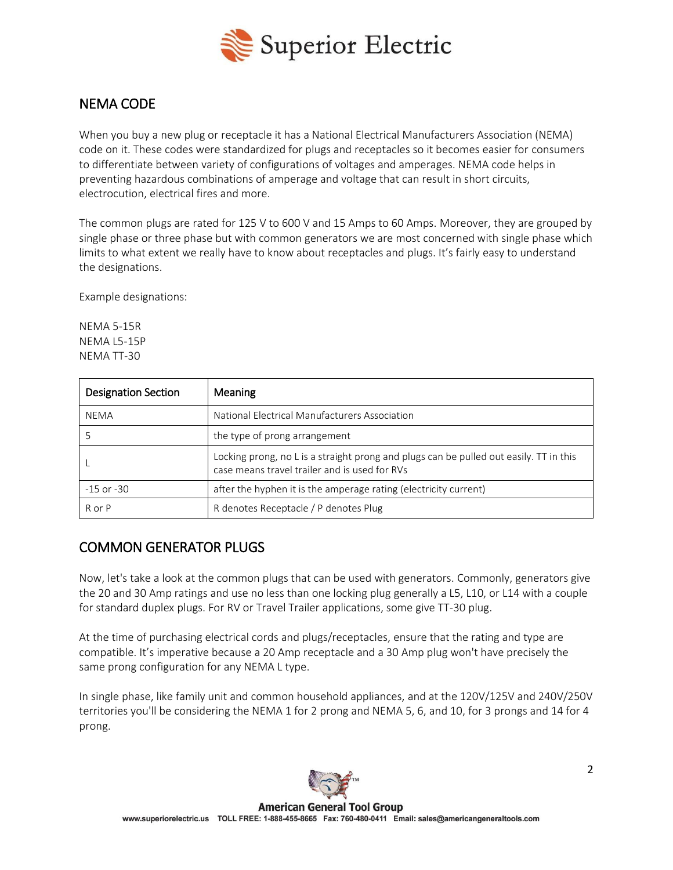

# NEMA CODE

When you buy a new plug or receptacle it has a National Electrical Manufacturers Association (NEMA) code on it. These codes were standardized for plugs and receptacles so it becomes easier for consumers to differentiate between variety of configurations of voltages and amperages. NEMA code helps in preventing hazardous combinations of amperage and voltage that can result in short circuits, electrocution, electrical fires and more.

The common plugs are rated for 125 V to 600 V and 15 Amps to 60 Amps. Moreover, they are grouped by single phase or three phase but with common generators we are most concerned with single phase which limits to what extent we really have to know about receptacles and plugs. It's fairly easy to understand the designations.

Example designations:

NEMA 5-15R NEMA L5-15P NEMA TT-30

| <b>Designation Section</b> | Meaning                                                                                                                                 |
|----------------------------|-----------------------------------------------------------------------------------------------------------------------------------------|
| NEMA                       | National Electrical Manufacturers Association                                                                                           |
|                            | the type of prong arrangement                                                                                                           |
|                            | Locking prong, no L is a straight prong and plugs can be pulled out easily. TT in this<br>case means travel trailer and is used for RVs |
| $-15$ or $-30$             | after the hyphen it is the amperage rating (electricity current)                                                                        |
| R or P                     | R denotes Receptacle / P denotes Plug                                                                                                   |

# COMMON GENERATOR PLUGS

Now, let's take a look at the common plugs that can be used with generators. Commonly, generators give the 20 and 30 Amp ratings and use no less than one locking plug generally a L5, L10, or L14 with a couple for standard duplex plugs. For RV or Travel Trailer applications, some give TT-30 plug.

At the time of purchasing electrical cords and plugs/receptacles, ensure that the rating and type are compatible. It's imperative because a 20 Amp receptacle and a 30 Amp plug won't have precisely the same prong configuration for any NEMA L type.

In single phase, like family unit and common household appliances, and at the 120V/125V and 240V/250V territories you'll be considering the NEMA 1 for 2 prong and NEMA 5, 6, and 10, for 3 prongs and 14 for 4 prong.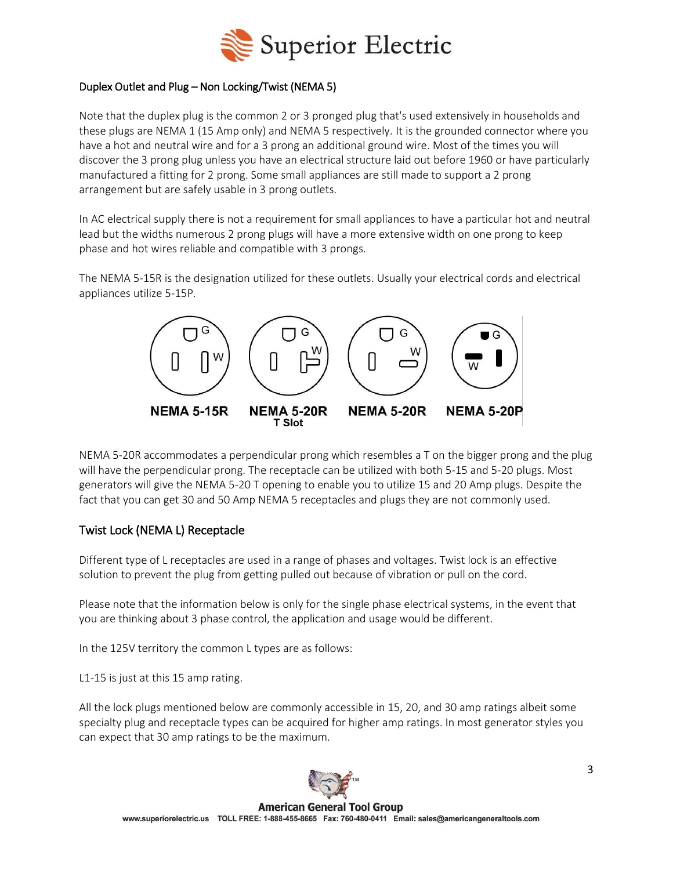

#### Duplex Outlet and Plug – Non Locking/Twist (NEMA 5)

Note that the duplex plug is the common 2 or 3 pronged plug that's used extensively in households and these plugs are NEMA 1 (15 Amp only) and NEMA 5 respectively. It is the grounded connector where you have a hot and neutral wire and for a 3 prong an additional ground wire. Most of the times you will discover the 3 prong plug unless you have an electrical structure laid out before 1960 or have particularly manufactured a fitting for 2 prong. Some small appliances are still made to support a 2 prong arrangement but are safely usable in 3 prong outlets.

In AC electrical supply there is not a requirement for small appliances to have a particular hot and neutral lead but the widths numerous 2 prong plugs will have a more extensive width on one prong to keep phase and hot wires reliable and compatible with 3 prongs.

The NEMA 5-15R is the designation utilized for these outlets. Usually your electrical cords and electrical appliances utilize 5-15P.



NEMA 5-20R accommodates a perpendicular prong which resembles a T on the bigger prong and the plug will have the perpendicular prong. The receptacle can be utilized with both 5-15 and 5-20 plugs. Most generators will give the NEMA 5-20 T opening to enable you to utilize 15 and 20 Amp plugs. Despite the fact that you can get 30 and 50 Amp NEMA 5 receptacles and plugs they are not commonly used.

## Twist Lock (NEMA L) Receptacle

Different type of L receptacles are used in a range of phases and voltages. Twist lock is an effective solution to prevent the plug from getting pulled out because of vibration or pull on the cord.

Please note that the information below is only for the single phase electrical systems, in the event that you are thinking about 3 phase control, the application and usage would be different.

In the 125V territory the common L types are as follows:

L1-15 is just at this 15 amp rating.

All the lock plugs mentioned below are commonly accessible in 15, 20, and 30 amp ratings albeit some specialty plug and receptacle types can be acquired for higher amp ratings. In most generator styles you can expect that 30 amp ratings to be the maximum.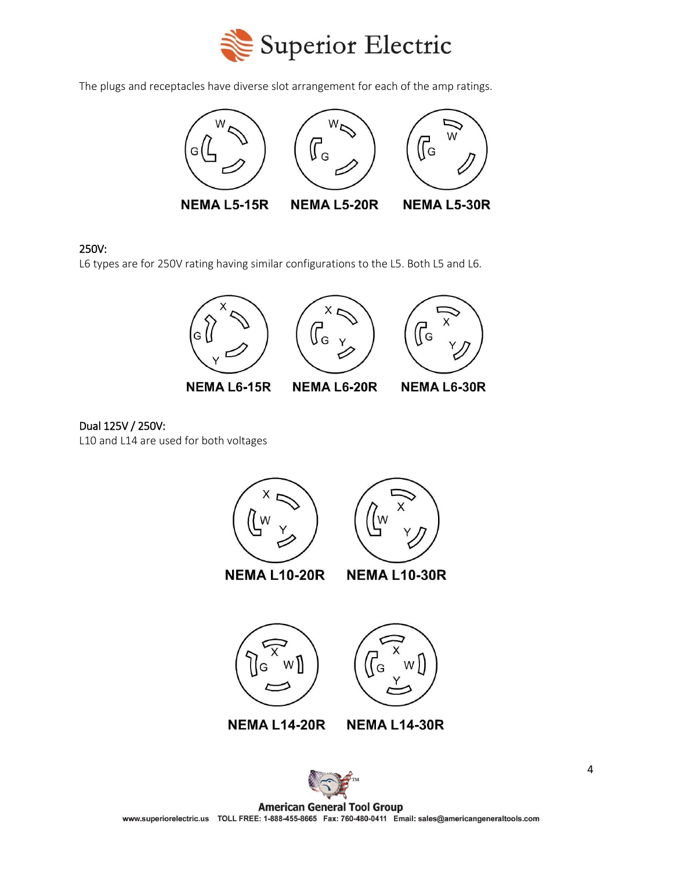

The plugs and receptacles have diverse slot arrangement for each of the amp ratings.



#### 250V:

L6 types are for 250V rating having similar configurations to the L5. Both L5 and L6.



**NEMA L6-15R** 

**NEMA L6-30R** 

Dual 125V / 250V: L10 and L14 are used for both voltages





**NEMA L10-20R** 

**NEMA L10-30R** 







**NEMA L14-30R** 



**American General Tool Group** www.superiorelectric.us TOLL FREE: 1-888-455-8665 Fax: 760-480-0411 Email: sales@americangeneraltools.com